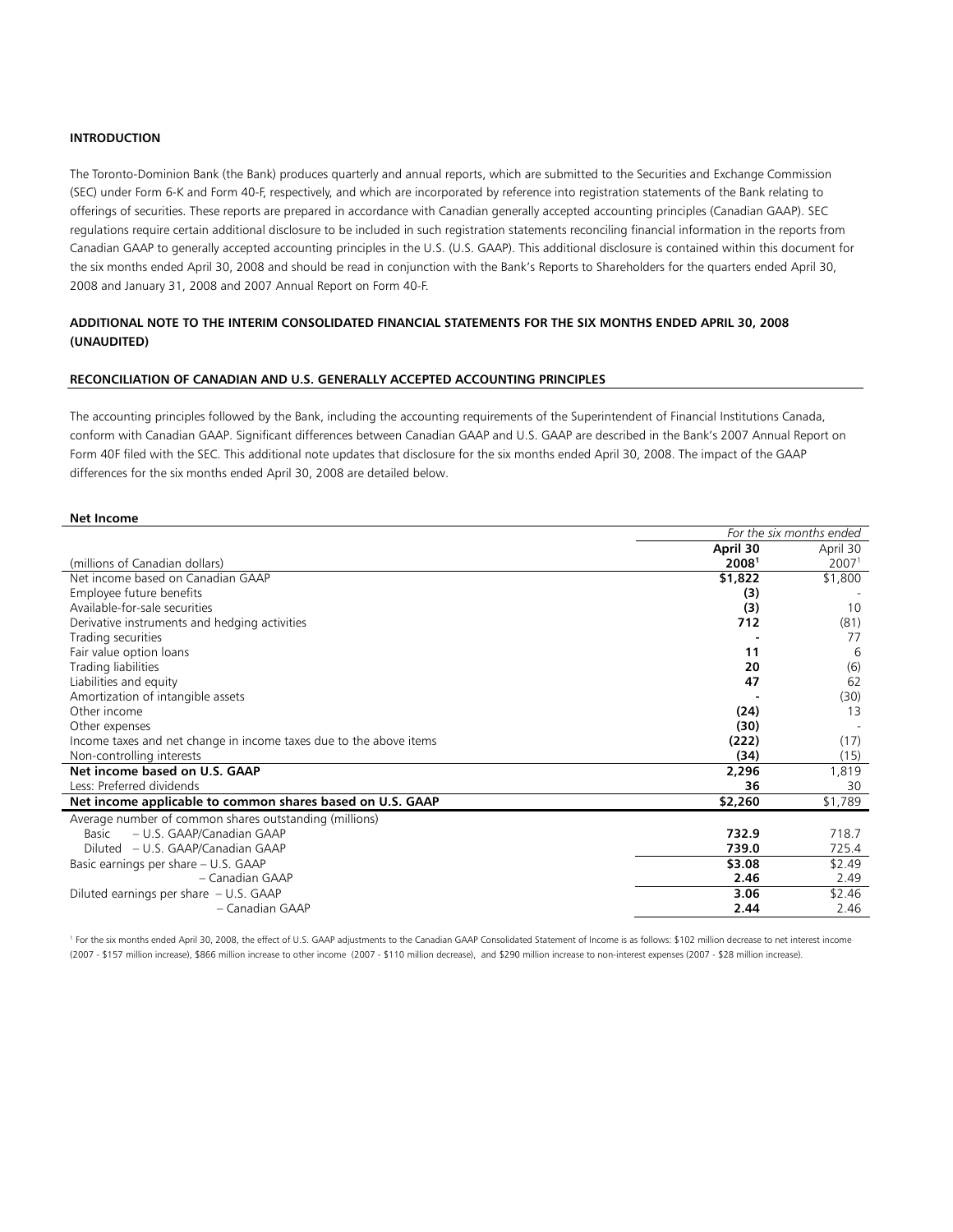# **INTRODUCTION**

The Toronto-Dominion Bank (the Bank) produces quarterly and annual reports, which are submitted to the Securities and Exchange Commission (SEC) under Form 6-K and Form 40-F, respectively, and which are incorporated by reference into registration statements of the Bank relating to offerings of securities. These reports are prepared in accordance with Canadian generally accepted accounting principles (Canadian GAAP). SEC regulations require certain additional disclosure to be included in such registration statements reconciling financial information in the reports from Canadian GAAP to generally accepted accounting principles in the U.S. (U.S. GAAP). This additional disclosure is contained within this document for the six months ended April 30, 2008 and should be read in conjunction with the Bank's Reports to Shareholders for the quarters ended April 30, 2008 and January 31, 2008 and 2007 Annual Report on Form 40-F.

# **ADDITIONAL NOTE TO THE INTERIM CONSOLIDATED FINANCIAL STATEMENTS FOR THE SIX MONTHS ENDED APRIL 30, 2008 (UNAUDITED)**

## **RECONCILIATION OF CANADIAN AND U.S. GENERALLY ACCEPTED ACCOUNTING PRINCIPLES**

The accounting principles followed by the Bank, including the accounting requirements of the Superintendent of Financial Institutions Canada, conform with Canadian GAAP. Significant differences between Canadian GAAP and U.S. GAAP are described in the Bank's 2007 Annual Report on Form 40F filed with the SEC. This additional note updates that disclosure for the six months ended April 30, 2008. The impact of the GAAP differences for the six months ended April 30, 2008 are detailed below.

### **Net Income**

|                                                                    | For the six months ended |                   |
|--------------------------------------------------------------------|--------------------------|-------------------|
|                                                                    | April 30                 | April 30          |
| (millions of Canadian dollars)                                     | 20081                    | 2007 <sup>1</sup> |
| Net income based on Canadian GAAP                                  | \$1,822                  | \$1,800           |
| Employee future benefits                                           | (3)                      |                   |
| Available-for-sale securities                                      | (3)                      | 10                |
| Derivative instruments and hedging activities                      | 712                      | (81)              |
| Trading securities                                                 |                          | 77                |
| Fair value option loans                                            | 11                       | 6                 |
| Trading liabilities                                                | 20                       | (6)               |
| Liabilities and equity                                             | 47                       | 62                |
| Amortization of intangible assets                                  |                          | (30)              |
| Other income                                                       | (24)                     | 13                |
| Other expenses                                                     | (30)                     |                   |
| Income taxes and net change in income taxes due to the above items | (222)                    | (17)              |
| Non-controlling interests                                          | (34)                     | (15)              |
| Net income based on U.S. GAAP                                      | 2,296                    | 1,819             |
| Less: Preferred dividends                                          | 36                       | 30                |
| Net income applicable to common shares based on U.S. GAAP          | \$2,260                  | \$1,789           |
| Average number of common shares outstanding (millions)             |                          |                   |
| - U.S. GAAP/Canadian GAAP<br>Basic                                 | 732.9                    | 718.7             |
| Diluted – U.S. GAAP/Canadian GAAP                                  | 739.0                    | 725.4             |
| Basic earnings per share - U.S. GAAP                               | \$3.08                   | \$2.49            |
| – Canadian GAAP                                                    | 2.46                     | 2.49              |
| Diluted earnings per share - U.S. GAAP                             | 3.06                     | \$2.46            |
| - Canadian GAAP                                                    | 2.44                     | 2.46              |

1 For the six months ended April 30, 2008, the effect of U.S. GAAP adjustments to the Canadian GAAP Consolidated Statement of Income is as follows: \$102 million decrease to net interest income (2007 - \$157 million increase), \$866 million increase to other income (2007 - \$110 million decrease), and \$290 million increase to non-interest expenses (2007 - \$28 million increase).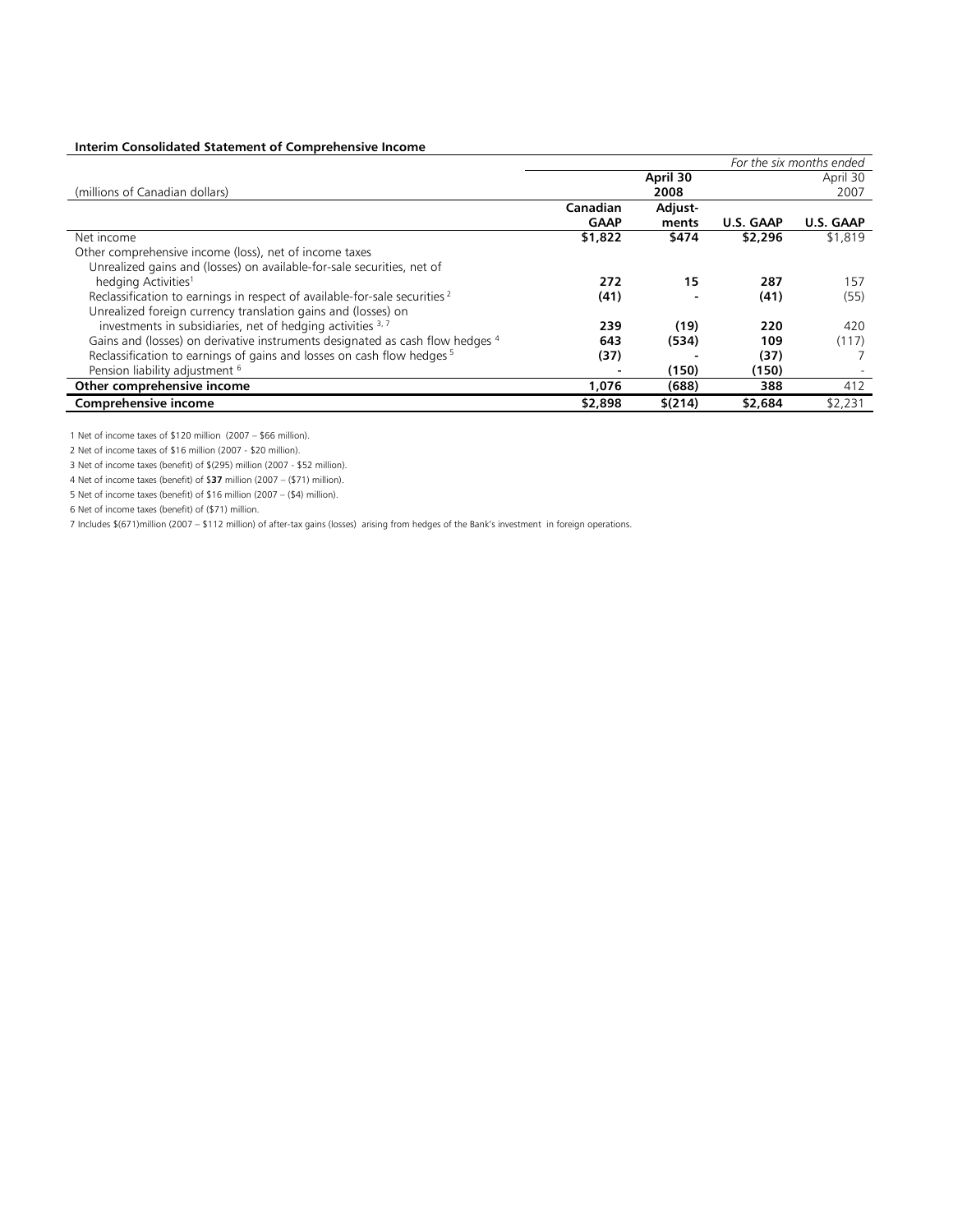# **Interim Consolidated Statement of Comprehensive Income**

|                                                                                       |             | For the six months ended |                  |           |  |
|---------------------------------------------------------------------------------------|-------------|--------------------------|------------------|-----------|--|
|                                                                                       |             | April 30                 |                  | April 30  |  |
| (millions of Canadian dollars)                                                        |             | 2008                     |                  | 2007      |  |
|                                                                                       | Canadian    | Adjust-                  |                  |           |  |
|                                                                                       | <b>GAAP</b> | ments                    | <b>U.S. GAAP</b> | U.S. GAAP |  |
| Net income                                                                            | \$1,822     | \$474                    | \$2,296          | \$1,819   |  |
| Other comprehensive income (loss), net of income taxes                                |             |                          |                  |           |  |
| Unrealized gains and (losses) on available-for-sale securities, net of                |             |                          |                  |           |  |
| hedging Activities <sup>1</sup>                                                       | 272         | 15                       | 287              | 157       |  |
| Reclassification to earnings in respect of available-for-sale securities <sup>2</sup> | (41)        |                          | (41)             | (55)      |  |
| Unrealized foreign currency translation gains and (losses) on                         |             |                          |                  |           |  |
| investments in subsidiaries, net of hedging activities 3,7                            | 239         | (19)                     | 220              | 420       |  |
| Gains and (losses) on derivative instruments designated as cash flow hedges 4         | 643         | (534)                    | 109              | (117)     |  |
| Reclassification to earnings of gains and losses on cash flow hedges <sup>5</sup>     | (37)        |                          | (37)             |           |  |
| Pension liability adjustment <sup>6</sup>                                             |             | (150)                    | (150)            |           |  |
| Other comprehensive income                                                            | 1,076       | (688)                    | 388              | 412       |  |
| <b>Comprehensive income</b>                                                           | \$2,898     | \$(214)                  | \$2,684          | \$2,231   |  |

1 Net of income taxes of \$120 million (2007 – \$66 million).

2 Net of income taxes of \$16 million (2007 - \$20 million).

3 Net of income taxes (benefit) of \$(295) million (2007 - \$52 million).

4 Net of income taxes (benefit) of \$**37** million (2007 – (\$71) million).

5 Net of income taxes (benefit) of \$16 million (2007 – (\$4) million).

6 Net of income taxes (benefit) of (\$71) million.

7 Includes \$(671)million (2007 – \$112 million) of after-tax gains (losses) arising from hedges of the Bank's investment in foreign operations.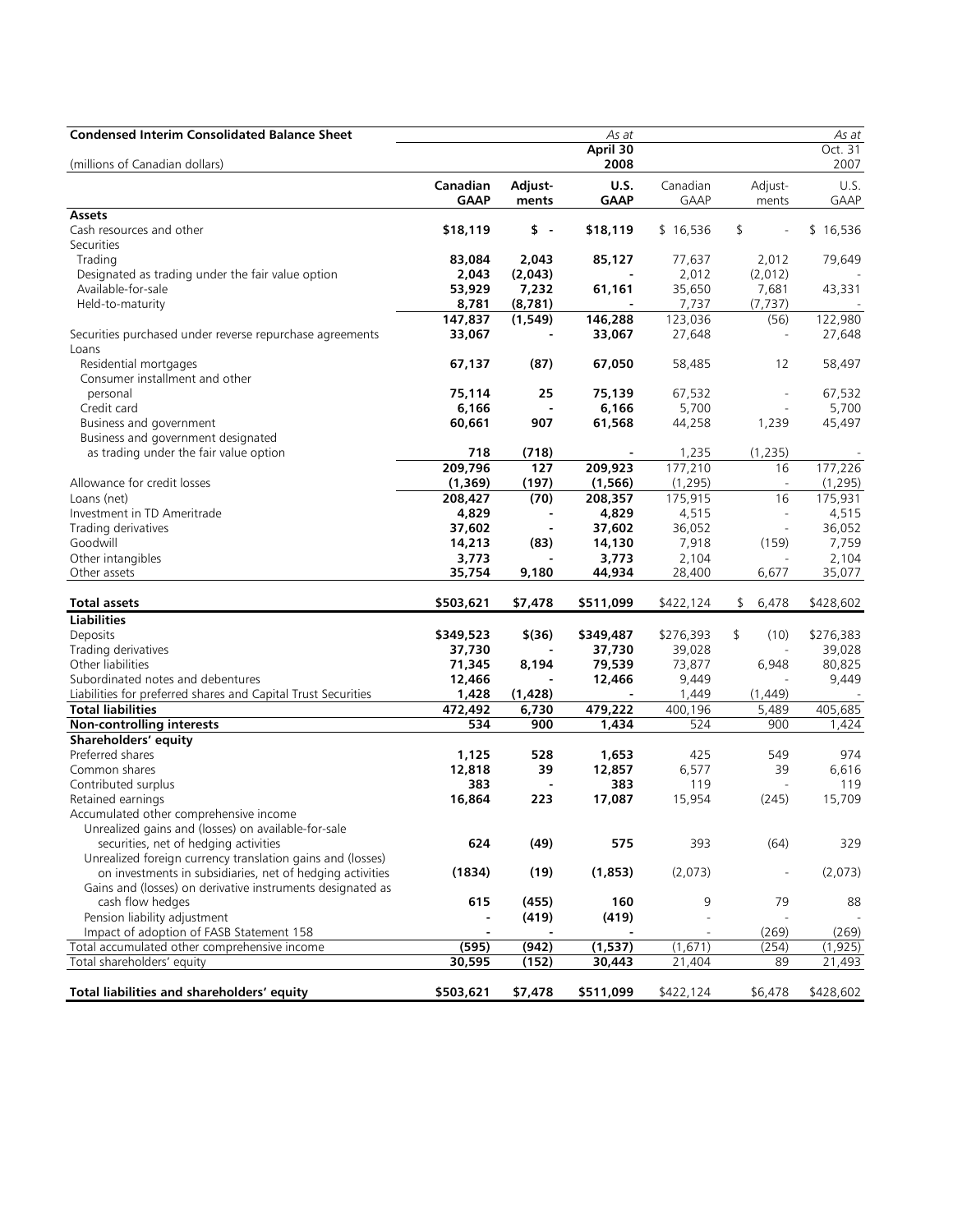| <b>Condensed Interim Consolidated Balance Sheet</b>           |                 |                     | As at           |           |                                | As at     |
|---------------------------------------------------------------|-----------------|---------------------|-----------------|-----------|--------------------------------|-----------|
|                                                               |                 |                     | April 30        |           |                                | Oct. 31   |
| (millions of Canadian dollars)                                |                 |                     | 2008            |           |                                | 2007      |
|                                                               | Canadian        | Adjust-             | <b>U.S.</b>     | Canadian  | Adjust-                        | U.S.      |
|                                                               | <b>GAAP</b>     | ments               | <b>GAAP</b>     | GAAP      | ments                          | GAAP      |
| Assets                                                        |                 |                     |                 |           |                                |           |
| Cash resources and other                                      | \$18,119        | $\ddot{\text{s}}$ . | \$18,119        | \$16,536  | \$<br>$\overline{\phantom{a}}$ | \$16,536  |
| Securities                                                    |                 |                     |                 |           |                                |           |
| Trading                                                       | 83,084          | 2,043               | 85,127          | 77,637    | 2,012                          | 79,649    |
| Designated as trading under the fair value option             | 2,043           | (2,043)             |                 | 2,012     | (2,012)                        |           |
| Available-for-sale                                            |                 | 7,232               | 61,161          | 35,650    | 7,681                          |           |
|                                                               | 53,929          |                     |                 |           |                                | 43,331    |
| Held-to-maturity                                              | 8,781           | (8,781)             |                 | 7,737     | (7, 737)                       |           |
|                                                               | 147,837         | (1, 549)            | 146,288         | 123,036   | (56)                           | 122,980   |
| Securities purchased under reverse repurchase agreements      | 33,067          |                     | 33,067          | 27,648    | $\overline{\phantom{a}}$       | 27,648    |
| Loans                                                         |                 |                     |                 |           |                                |           |
| Residential mortgages                                         | 67,137          | (87)                | 67,050          | 58,485    | 12                             | 58,497    |
| Consumer installment and other                                |                 |                     |                 |           |                                |           |
| personal                                                      | 75,114          | 25                  | 75,139          | 67,532    |                                | 67,532    |
| Credit card                                                   | 6,166           | $\blacksquare$      | 6,166           | 5,700     | $\sim$                         | 5,700     |
| Business and government                                       | 60,661          | 907                 | 61,568          | 44,258    | 1,239                          | 45,497    |
| Business and government designated                            |                 |                     |                 |           |                                |           |
| as trading under the fair value option                        | 718             | (718)               |                 | 1,235     | (1, 235)                       |           |
|                                                               | 209,796         | 127                 | 209,923         | 177,210   | 16                             | 177,226   |
| Allowance for credit losses                                   | (1, 369)        | (197)               | (1, 566)        | (1, 295)  | $\overline{\phantom{a}}$       | (1, 295)  |
| Loans (net)                                                   | 208,427         | (70)                | 208,357         | 175,915   | 16                             | 175,931   |
| Investment in TD Ameritrade                                   | 4,829           |                     | 4,829           | 4,515     | $\overline{\phantom{a}}$       | 4,515     |
| Trading derivatives                                           | 37,602          |                     | 37,602          | 36,052    | $\overline{\phantom{a}}$       | 36,052    |
| Goodwill                                                      | 14,213          | (83)                | 14,130          | 7,918     | (159)                          | 7,759     |
| Other intangibles                                             | 3,773           |                     | 3,773           | 2,104     |                                | 2,104     |
| Other assets                                                  | 35,754          | 9,180               |                 |           | 6,677                          |           |
|                                                               |                 |                     | 44,934          | 28,400    |                                | 35,077    |
| Total assets                                                  | \$503,621       | \$7,478             | \$511,099       | \$422,124 | 6,478<br>\$                    | \$428,602 |
| <b>Liabilities</b>                                            |                 |                     |                 |           |                                |           |
| Deposits                                                      | \$349,523       | $$^{(36)}$          | \$349,487       | \$276,393 | \$<br>(10)                     | \$276,383 |
| Trading derivatives                                           | 37,730          |                     | 37,730          | 39,028    |                                | 39,028    |
| Other liabilities                                             | 71,345          | 8,194               | 79,539          | 73,877    | 6,948                          | 80,825    |
| Subordinated notes and debentures                             | 12,466          |                     | 12,466          | 9,449     |                                | 9,449     |
| Liabilities for preferred shares and Capital Trust Securities | 1,428           | (1, 428)            |                 | 1,449     | (1,449)                        |           |
| <b>Total liabilities</b>                                      | 472,492         | 6,730               | 479,222         | 400,196   | 5,489                          | 405,685   |
| <b>Non-controlling interests</b>                              | 534             | 900                 | 1,434           | 524       | 900                            | 1,424     |
| Shareholders' equity                                          |                 |                     |                 |           |                                |           |
| Preferred shares                                              |                 | 528                 |                 | 425       | 549                            | 974       |
| Common shares                                                 | 1,125<br>12,818 | 39                  | 1,653<br>12,857 | 6,577     | 39                             | 6,616     |
|                                                               |                 |                     |                 |           |                                |           |
| Contributed surplus                                           | 383             |                     | 383             | 119       |                                | 119       |
| Retained earnings                                             | 16,864          | 223                 | 17,087          | 15,954    | (245)                          | 15,709    |
| Accumulated other comprehensive income                        |                 |                     |                 |           |                                |           |
| Unrealized gains and (losses) on available-for-sale           |                 |                     |                 |           |                                |           |
| securities, net of hedging activities                         | 624             | (49)                | 575             | 393       | (64)                           | 329       |
| Unrealized foreign currency translation gains and (losses)    |                 |                     |                 |           |                                |           |
| on investments in subsidiaries, net of hedging activities     | (1834)          | (19)                | (1,853)         | (2,073)   | $\overline{\phantom{a}}$       | (2,073)   |
| Gains and (losses) on derivative instruments designated as    |                 |                     |                 |           |                                |           |
| cash flow hedges                                              | 615             | (455)               | 160             | 9         | 79                             | 88        |
| Pension liability adjustment                                  |                 | (419)               | (419)           |           |                                |           |
| Impact of adoption of FASB Statement 158                      |                 |                     |                 |           | (269)                          | (269)     |
| Total accumulated other comprehensive income                  | (595)           | (942)               | (1,537)         | (1,671)   | (254)                          | (1, 925)  |
| Total shareholders' equity                                    | 30,595          | (152)               | 30,443          | 21,404    | 89                             | 21,493    |
|                                                               |                 |                     |                 |           |                                |           |
| Total liabilities and shareholders' equity                    | \$503,621       | \$7,478             | \$511,099       | \$422,124 | \$6,478                        | \$428,602 |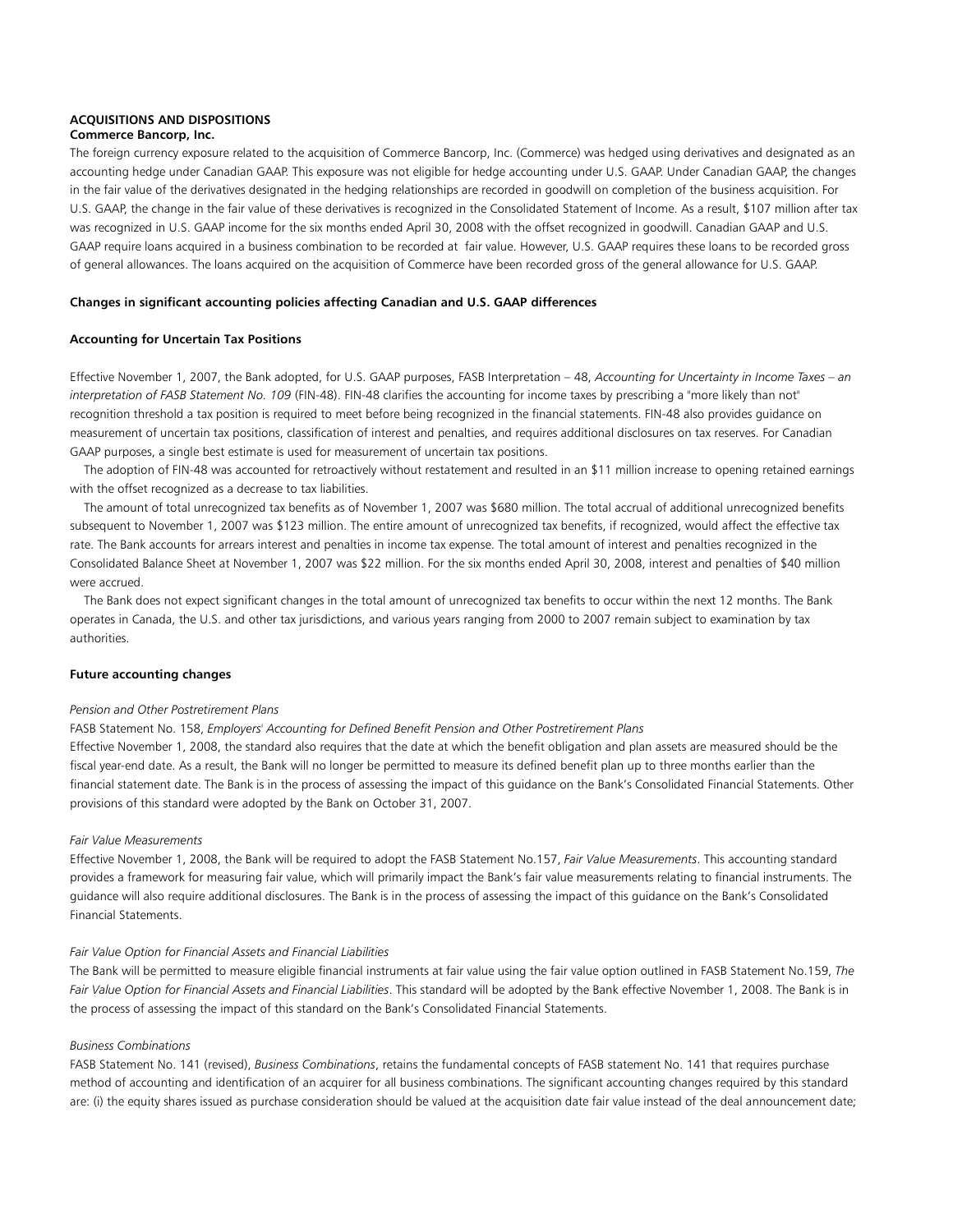# **ACQUISITIONS AND DISPOSITIONS**

# **Commerce Bancorp, Inc.**

The foreign currency exposure related to the acquisition of Commerce Bancorp, Inc. (Commerce) was hedged using derivatives and designated as an accounting hedge under Canadian GAAP. This exposure was not eligible for hedge accounting under U.S. GAAP. Under Canadian GAAP, the changes in the fair value of the derivatives designated in the hedging relationships are recorded in goodwill on completion of the business acquisition. For U.S. GAAP, the change in the fair value of these derivatives is recognized in the Consolidated Statement of Income. As a result, \$107 million after tax was recognized in U.S. GAAP income for the six months ended April 30, 2008 with the offset recognized in goodwill. Canadian GAAP and U.S. GAAP require loans acquired in a business combination to be recorded at fair value. However, U.S. GAAP requires these loans to be recorded gross of general allowances. The loans acquired on the acquisition of Commerce have been recorded gross of the general allowance for U.S. GAAP.

## **Changes in significant accounting policies affecting Canadian and U.S. GAAP differences**

## **Accounting for Uncertain Tax Positions**

Effective November 1, 2007, the Bank adopted, for U.S. GAAP purposes, FASB Interpretation – 48, *Accounting for Uncertainty in Income Taxes – an interpretation of FASB Statement No. 109* (FIN-48). FIN-48 clarifies the accounting for income taxes by prescribing a "more likely than not" recognition threshold a tax position is required to meet before being recognized in the financial statements. FIN-48 also provides guidance on measurement of uncertain tax positions, classification of interest and penalties, and requires additional disclosures on tax reserves. For Canadian GAAP purposes, a single best estimate is used for measurement of uncertain tax positions.

 The adoption of FIN-48 was accounted for retroactively without restatement and resulted in an \$11 million increase to opening retained earnings with the offset recognized as a decrease to tax liabilities.

 The amount of total unrecognized tax benefits as of November 1, 2007 was \$680 million. The total accrual of additional unrecognized benefits subsequent to November 1, 2007 was \$123 million. The entire amount of unrecognized tax benefits, if recognized, would affect the effective tax rate. The Bank accounts for arrears interest and penalties in income tax expense. The total amount of interest and penalties recognized in the Consolidated Balance Sheet at November 1, 2007 was \$22 million. For the six months ended April 30, 2008, interest and penalties of \$40 million were accrued.

 The Bank does not expect significant changes in the total amount of unrecognized tax benefits to occur within the next 12 months. The Bank operates in Canada, the U.S. and other tax jurisdictions, and various years ranging from 2000 to 2007 remain subject to examination by tax authorities.

## **Future accounting changes**

### *Pension and Other Postretirement Plans*

FASB Statement No. 158, *Employers' Accounting for Defined Benefit Pension and Other Postretirement Plans*

Effective November 1, 2008, the standard also requires that the date at which the benefit obligation and plan assets are measured should be the fiscal year-end date. As a result, the Bank will no longer be permitted to measure its defined benefit plan up to three months earlier than the financial statement date. The Bank is in the process of assessing the impact of this guidance on the Bank's Consolidated Financial Statements. Other provisions of this standard were adopted by the Bank on October 31, 2007.

#### *Fair Value Measurements*

Effective November 1, 2008, the Bank will be required to adopt the FASB Statement No.157, *Fair Value Measurements*. This accounting standard provides a framework for measuring fair value, which will primarily impact the Bank's fair value measurements relating to financial instruments. The guidance will also require additional disclosures. The Bank is in the process of assessing the impact of this guidance on the Bank's Consolidated Financial Statements.

#### *Fair Value Option for Financial Assets and Financial Liabilities*

The Bank will be permitted to measure eligible financial instruments at fair value using the fair value option outlined in FASB Statement No.159, *The Fair Value Option for Financial Assets and Financial Liabilities*. This standard will be adopted by the Bank effective November 1, 2008. The Bank is in the process of assessing the impact of this standard on the Bank's Consolidated Financial Statements.

#### *Business Combinations*

FASB Statement No. 141 (revised), *Business Combinations*, retains the fundamental concepts of FASB statement No. 141 that requires purchase method of accounting and identification of an acquirer for all business combinations. The significant accounting changes required by this standard are: (i) the equity shares issued as purchase consideration should be valued at the acquisition date fair value instead of the deal announcement date;